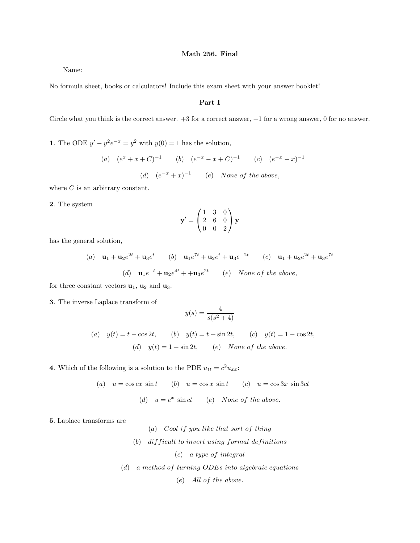Name:

No formula sheet, books or calculators! Include this exam sheet with your answer booklet!

### Part I

Circle what you think is the correct answer. +3 for a correct answer, −1 for a wrong answer, 0 for no answer.

1. The ODE  $y' - y^2 e^{-x} = y^2$  with  $y(0) = 1$  has the solution,

(a) 
$$
(e^x + x + C)^{-1}
$$
 (b)  $(e^{-x} - x + C)^{-1}$  (c)  $(e^{-x} - x)^{-1}$   
(d)  $(e^{-x} + x)^{-1}$  (e) None of the above,

where  $C$  is an arbitrary constant.

2. The system

$$
\mathbf{y}' = \begin{pmatrix} 1 & 3 & 0 \\ 2 & 6 & 0 \\ 0 & 0 & 2 \end{pmatrix} \mathbf{y}
$$

has the general solution,

(a) 
$$
\mathbf{u}_1 + \mathbf{u}_2 e^{2t} + \mathbf{u}_3 e^t
$$
 (b)  $\mathbf{u}_1 e^{7t} + \mathbf{u}_2 e^t + \mathbf{u}_3 e^{-2t}$  (c)  $\mathbf{u}_1 + \mathbf{u}_2 e^{2t} + \mathbf{u}_3 e^{7t}$   
(d)  $\mathbf{u}_1 e^{-t} + \mathbf{u}_2 e^{4t} + \mathbf{u}_3 e^{2t}$  (e) None of the above,

for three constant vectors  $\mathbf{u}_1$ ,  $\mathbf{u}_2$  and  $\mathbf{u}_3$ .

3. The inverse Laplace transform of

$$
\bar{y}(s) = \frac{4}{s(s^2+4)}
$$

(a) 
$$
y(t) = t - \cos 2t
$$
, (b)  $y(t) = t + \sin 2t$ , (c)  $y(t) = 1 - \cos 2t$ ,  
(d)  $y(t) = 1 - \sin 2t$ , (e) None of the above.

4. Which of the following is a solution to the PDE  $u_{tt} = c^2 u_{xx}$ :

(a) 
$$
u = \cos cx \sin t
$$
 (b)  $u = \cos x \sin t$  (c)  $u = \cos 3x \sin 3ct$   
(d)  $u = e^x \sin ct$  (e) None of the above.

5. Laplace transforms are

(a) Cool if you like that sort of thing  $(b)$  difficult to invert using formal definitions (c) a type of integral (d) a method of turning ODEs into algebraic equations (e) All of the above.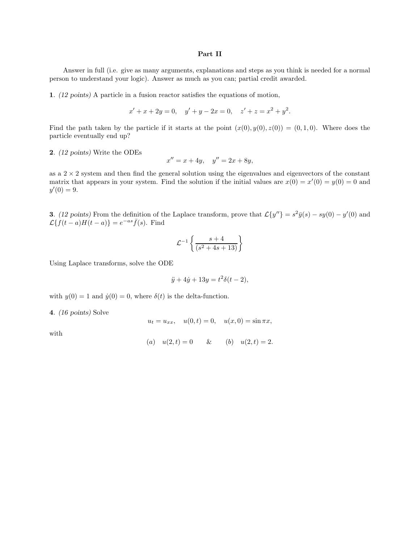#### Part II

Answer in full (i.e. give as many arguments, explanations and steps as you think is needed for a normal person to understand your logic). Answer as much as you can; partial credit awarded.

1. (12 points) A particle in a fusion reactor satisfies the equations of motion,

$$
x' + x + 2y = 0, \quad y' + y - 2x = 0, \quad z' + z = x^2 + y^2.
$$

Find the path taken by the particle if it starts at the point  $(x(0), y(0), z(0)) = (0, 1, 0)$ . Where does the particle eventually end up?

2. (12 points) Write the ODEs

$$
x'' = x + 4y, \quad y'' = 2x + 8y,
$$

as a  $2 \times 2$  system and then find the general solution using the eigenvalues and eigenvectors of the constant matrix that appears in your system. Find the solution if the initial values are  $x(0) = x'(0) = y(0) = 0$  and  $y'(0) = 9.$ 

**3.** (12 points) From the definition of the Laplace transform, prove that  $\mathcal{L}\{y''\}=s^2\bar{y}(s)-sy(0)-y'(0)$  and  $\mathcal{L}\lbrace \dot{f}(t-a)H(t-a)\rbrace = e^{-as}\bar{f}(s)$ . Find

$$
\mathcal{L}^{-1}\left\{\frac{s+4}{(s^2+4s+13)}\right\}
$$

Using Laplace transforms, solve the ODE

$$
\ddot{y} + 4\dot{y} + 13y = t^2 \delta(t - 2),
$$

with  $y(0) = 1$  and  $\dot{y}(0) = 0$ , where  $\delta(t)$  is the delta-function.

4. (16 points) Solve

$$
u_t = u_{xx}
$$
,  $u(0,t) = 0$ ,  $u(x, 0) = \sin \pi x$ ,

with

(a) 
$$
u(2, t) = 0
$$
 & (b)  $u(2, t) = 2$ .